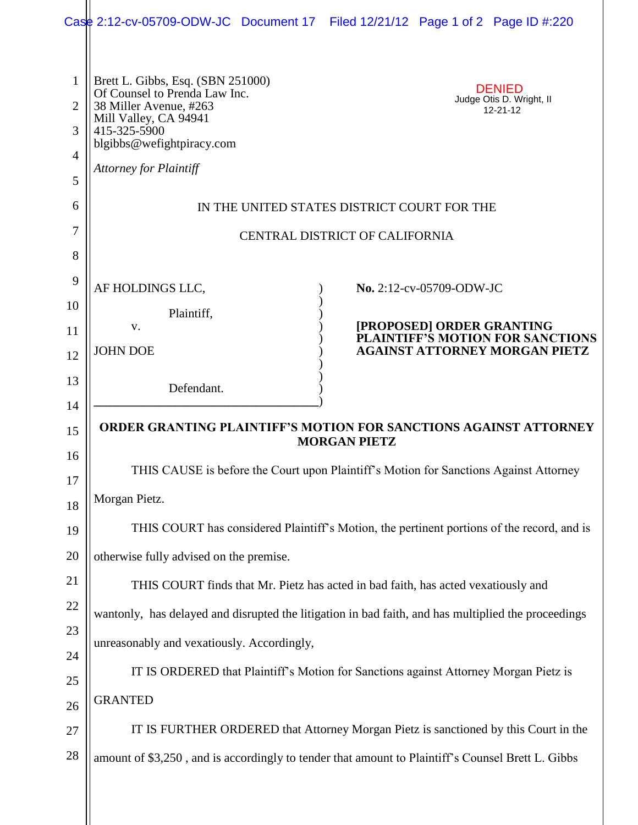|                                               | Case 2:12-cv-05709-ODW-JC Document 17 Filed 12/21/12 Page 1 of 2 Page ID #:220                                                                                                                      |  |  |                           |                                                             |  |  |  |  |
|-----------------------------------------------|-----------------------------------------------------------------------------------------------------------------------------------------------------------------------------------------------------|--|--|---------------------------|-------------------------------------------------------------|--|--|--|--|
| $\mathbf{1}$<br>$\overline{2}$<br>3<br>4<br>5 | Brett L. Gibbs, Esq. (SBN 251000)<br>Of Counsel to Prenda Law Inc.<br>38 Miller Avenue, #263<br>Mill Valley, CA 94941<br>415-325-5900<br>blgibbs@wefightpiracy.com<br><b>Attorney for Plaintiff</b> |  |  |                           | <b>DENIED</b><br>Judge Otis D. Wright, II<br>$12 - 21 - 12$ |  |  |  |  |
| 6                                             | IN THE UNITED STATES DISTRICT COURT FOR THE                                                                                                                                                         |  |  |                           |                                                             |  |  |  |  |
| 7                                             | <b>CENTRAL DISTRICT OF CALIFORNIA</b>                                                                                                                                                               |  |  |                           |                                                             |  |  |  |  |
| 8                                             |                                                                                                                                                                                                     |  |  |                           |                                                             |  |  |  |  |
| 9                                             | AF HOLDINGS LLC,                                                                                                                                                                                    |  |  | No. 2:12-cv-05709-ODW-JC  |                                                             |  |  |  |  |
| 10                                            | Plaintiff,                                                                                                                                                                                          |  |  |                           |                                                             |  |  |  |  |
| 11                                            | V.                                                                                                                                                                                                  |  |  | [PROPOSED] ORDER GRANTING | <b>PLAINTIFF'S MOTION FOR SANCTIONS</b>                     |  |  |  |  |
| 12                                            | <b>JOHN DOE</b>                                                                                                                                                                                     |  |  |                           | <b>AGAINST ATTORNEY MORGAN PIETZ</b>                        |  |  |  |  |
| 13                                            | Defendant.                                                                                                                                                                                          |  |  |                           |                                                             |  |  |  |  |
| 14                                            |                                                                                                                                                                                                     |  |  |                           |                                                             |  |  |  |  |
| 15                                            | <b>ORDER GRANTING PLAINTIFF'S MOTION FOR SANCTIONS AGAINST ATTORNEY</b><br><b>MORGAN PIETZ</b>                                                                                                      |  |  |                           |                                                             |  |  |  |  |
| 16<br>17                                      | THIS CAUSE is before the Court upon Plaintiff's Motion for Sanctions Against Attorney                                                                                                               |  |  |                           |                                                             |  |  |  |  |
| 18                                            | Morgan Pietz.                                                                                                                                                                                       |  |  |                           |                                                             |  |  |  |  |
| 19                                            | THIS COURT has considered Plaintiff's Motion, the pertinent portions of the record, and is                                                                                                          |  |  |                           |                                                             |  |  |  |  |
| 20                                            | otherwise fully advised on the premise.                                                                                                                                                             |  |  |                           |                                                             |  |  |  |  |
| 21                                            | THIS COURT finds that Mr. Pietz has acted in bad faith, has acted vexatiously and                                                                                                                   |  |  |                           |                                                             |  |  |  |  |
| 22                                            | wantonly, has delayed and disrupted the litigation in bad faith, and has multiplied the proceedings                                                                                                 |  |  |                           |                                                             |  |  |  |  |
| 23                                            | unreasonably and vexatiously. Accordingly,                                                                                                                                                          |  |  |                           |                                                             |  |  |  |  |
| 24                                            | IT IS ORDERED that Plaintiff's Motion for Sanctions against Attorney Morgan Pietz is                                                                                                                |  |  |                           |                                                             |  |  |  |  |
| 25                                            | <b>GRANTED</b>                                                                                                                                                                                      |  |  |                           |                                                             |  |  |  |  |
| 26<br>27                                      | IT IS FURTHER ORDERED that Attorney Morgan Pietz is sanctioned by this Court in the                                                                                                                 |  |  |                           |                                                             |  |  |  |  |
| 28                                            | amount of \$3,250, and is accordingly to tender that amount to Plaintiff's Counsel Brett L. Gibbs                                                                                                   |  |  |                           |                                                             |  |  |  |  |
|                                               |                                                                                                                                                                                                     |  |  |                           |                                                             |  |  |  |  |